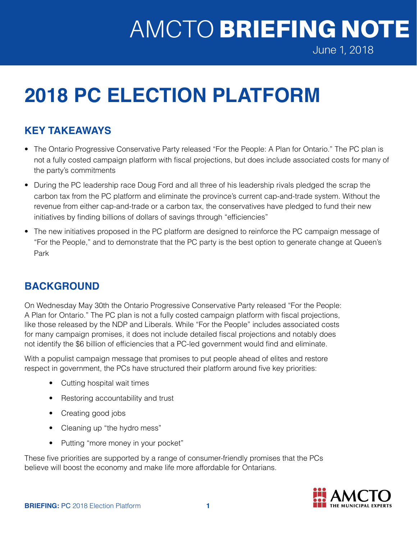# AMCTO BRIEFING NOTE

June 1, 2018

## **2018 PC ELECTION PLATFORM**

## **KEY TAKEAWAYS**

- The Ontario Progressive Conservative Party released "For the People: A Plan for Ontario." The PC plan is not a fully costed campaign platform with fiscal projections, but does include associated costs for many of the party's commitments
- During the PC leadership race Doug Ford and all three of his leadership rivals pledged the scrap the carbon tax from the PC platform and eliminate the province's current cap-and-trade system. Without the revenue from either cap-and-trade or a carbon tax, the conservatives have pledged to fund their new initiatives by finding billions of dollars of savings through "efficiencies"
- The new initiatives proposed in the PC platform are designed to reinforce the PC campaign message of "For the People," and to demonstrate that the PC party is the best option to generate change at Queen's Park

#### **BACKGROUND**

On Wednesday May 30th the Ontario Progressive Conservative Party released "For the People: A Plan for Ontario." The PC plan is not a fully costed campaign platform with fiscal projections, like those released by the NDP and Liberals. While "For the People" includes associated costs for many campaign promises, it does not include detailed fiscal projections and notably does not identify the \$6 billion of efficiencies that a PC-led government would find and eliminate.

With a populist campaign message that promises to put people ahead of elites and restore respect in government, the PCs have structured their platform around five key priorities:

- Cutting hospital wait times
- Restoring accountability and trust
- Creating good jobs
- Cleaning up "the hydro mess"
- Putting "more money in your pocket"

These five priorities are supported by a range of consumer-friendly promises that the PCs believe will boost the economy and make life more affordable for Ontarians.

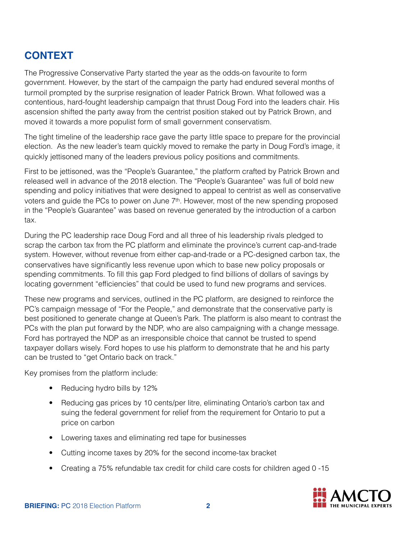### **CONTEXT**

The Progressive Conservative Party started the year as the odds-on favourite to form government. However, by the start of the campaign the party had endured several months of turmoil prompted by the surprise resignation of leader Patrick Brown. What followed was a contentious, hard-fought leadership campaign that thrust Doug Ford into the leaders chair. His ascension shifted the party away from the centrist position staked out by Patrick Brown, and moved it towards a more populist form of small government conservatism.

The tight timeline of the leadership race gave the party little space to prepare for the provincial election. As the new leader's team quickly moved to remake the party in Doug Ford's image, it quickly jettisoned many of the leaders previous policy positions and commitments.

First to be jettisoned, was the "People's Guarantee," the platform crafted by Patrick Brown and released well in advance of the 2018 election. The "People's Guarantee" was full of bold new spending and policy initiatives that were designed to appeal to centrist as well as conservative voters and guide the PCs to power on June  $7<sup>th</sup>$ . However, most of the new spending proposed in the "People's Guarantee" was based on revenue generated by the introduction of a carbon tax.

During the PC leadership race Doug Ford and all three of his leadership rivals pledged to scrap the carbon tax from the PC platform and eliminate the province's current cap-and-trade system. However, without revenue from either cap-and-trade or a PC-designed carbon tax, the conservatives have significantly less revenue upon which to base new policy proposals or spending commitments. To fill this gap Ford pledged to find billions of dollars of savings by locating government "efficiencies" that could be used to fund new programs and services.

These new programs and services, outlined in the PC platform, are designed to reinforce the PC's campaign message of "For the People," and demonstrate that the conservative party is best positioned to generate change at Queen's Park. The platform is also meant to contrast the PCs with the plan put forward by the NDP, who are also campaigning with a change message. Ford has portrayed the NDP as an irresponsible choice that cannot be trusted to spend taxpayer dollars wisely. Ford hopes to use his platform to demonstrate that he and his party can be trusted to "get Ontario back on track."

Key promises from the platform include:

- Reducing hydro bills by 12%
- Reducing gas prices by 10 cents/per litre, eliminating Ontario's carbon tax and suing the federal government for relief from the requirement for Ontario to put a price on carbon
- Lowering taxes and eliminating red tape for businesses
- Cutting income taxes by 20% for the second income-tax bracket
- Creating a 75% refundable tax credit for child care costs for children aged 0 -15

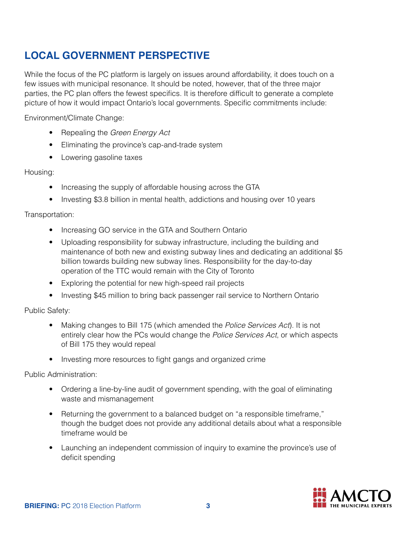## **LOCAL GOVERNMENT PERSPECTIVE**

While the focus of the PC platform is largely on issues around affordability, it does touch on a few issues with municipal resonance. It should be noted, however, that of the three major parties, the PC plan offers the fewest specifics. It is therefore difficult to generate a complete picture of how it would impact Ontario's local governments. Specific commitments include:

Environment/Climate Change:

- Repealing the *Green Energy Act*
- Eliminating the province's cap-and-trade system
- Lowering gasoline taxes

Housing:

- Increasing the supply of affordable housing across the GTA
- Investing \$3.8 billion in mental health, addictions and housing over 10 years

Transportation:

- Increasing GO service in the GTA and Southern Ontario
- Uploading responsibility for subway infrastructure, including the building and maintenance of both new and existing subway lines and dedicating an additional \$5 billion towards building new subway lines. Responsibility for the day-to-day operation of the TTC would remain with the City of Toronto
- Exploring the potential for new high-speed rail projects
- Investing \$45 million to bring back passenger rail service to Northern Ontario

Public Safety:

- Making changes to Bill 175 (which amended the *Police Services Act*). It is not entirely clear how the PCs would change the *Police Services Act*, or which aspects of Bill 175 they would repeal
- Investing more resources to fight gangs and organized crime

Public Administration:

- Ordering a line-by-line audit of government spending, with the goal of eliminating waste and mismanagement
- Returning the government to a balanced budget on "a responsible timeframe," though the budget does not provide any additional details about what a responsible timeframe would be
- Launching an independent commission of inquiry to examine the province's use of deficit spending